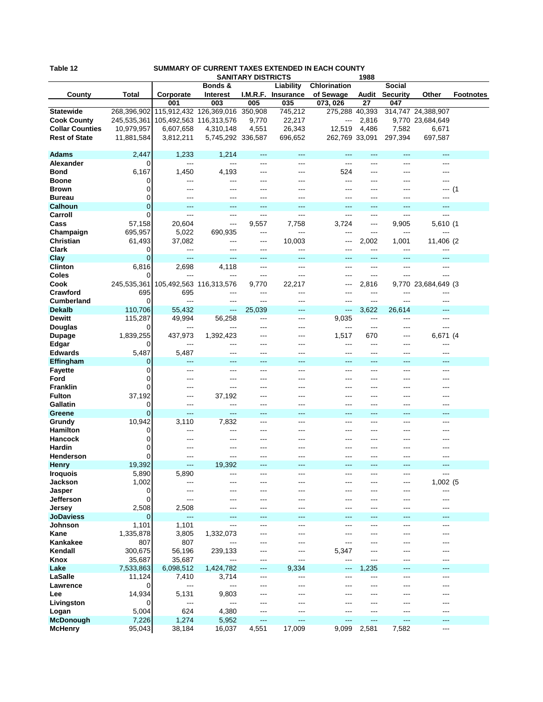| Table 12<br>SUMMARY OF CURRENT TAXES EXTENDED IN EACH COUNTY<br><b>SANITARY DISTRICTS</b> |                |                         |                   |              |                    |                |            |                 |                     |                  |
|-------------------------------------------------------------------------------------------|----------------|-------------------------|-------------------|--------------|--------------------|----------------|------------|-----------------|---------------------|------------------|
|                                                                                           |                |                         | Bonds &           |              | Liability          | Chlorination   | 1988       | Social          |                     |                  |
| County                                                                                    | Total          | Corporate               | <b>Interest</b>   |              | I.M.R.F. Insurance | of Sewage      | Audit      | <b>Security</b> | Other               | <b>Footnotes</b> |
|                                                                                           |                | 001                     | 003               | 005          | 035                | 073, 026       | 27         | 047             |                     |                  |
| <b>Statewide</b>                                                                          | 268,396,902    | 115,912,432 126,369,016 |                   | 350,908      | 745,212            | 275,288 40,393 |            |                 | 314,747 24,388,907  |                  |
| <b>Cook County</b>                                                                        | 245,535,361    | 105,492,563 116,313,576 |                   | 9,770        | 22,217             | ---            | 2,816      |                 | 9,770 23,684,649    |                  |
| <b>Collar Counties</b>                                                                    | 10,979,957     | 6,607,658               | 4,310,148         | 4,551        | 26,343             | 12,519         | 4,486      | 7,582           | 6,671               |                  |
| <b>Rest of State</b>                                                                      | 11,881,584     | 3,812,211               | 5,745,292 336,587 |              | 696,652            | 262,769 33,091 |            | 297,394         | 697,587             |                  |
|                                                                                           |                |                         |                   |              |                    |                |            |                 |                     |                  |
| <b>Adams</b>                                                                              | 2,447          | 1,233                   | 1,214             | $---$        | $---$              | ---            | ---        | ---             | $---$               |                  |
| Alexander                                                                                 | 0              | $\cdots$                | $---$             | ---          | ---                | ---            | ---        | ---             | ---                 |                  |
| <b>Bond</b>                                                                               | 6,167          | 1,450                   | 4,193             | ---          | $---$              | 524            | ---        | ---             | ---                 |                  |
| <b>Boone</b><br><b>Brown</b>                                                              | 0<br>0         | ---<br>---              | ---<br>---        | ---          | ---                | ---<br>---     | ---<br>--- |                 | ---<br>--- (1       |                  |
| <b>Bureau</b>                                                                             | 0              | ---                     | ---               | ---          |                    |                | ---        |                 | ---                 |                  |
| <b>Calhoun</b>                                                                            | $\overline{0}$ | ---                     | ---               | ---          | ---                |                | ---        |                 |                     |                  |
| Carroll                                                                                   | 0              | $---$                   | $---$             | $---$        | $---$              | ---            | ---        | ---             | ---                 |                  |
| Cass                                                                                      | 57,158         | 20,604                  | ---               | 9,557        | 7,758              | 3,724          | ---        | 9,905           | 5,610 (1            |                  |
| Champaign                                                                                 | 695,957        | 5,022                   | 690,935           | ---          | ---                | ---            | ---        | ---             |                     |                  |
| Christian                                                                                 | 61,493         | 37,082                  | ---               | ---          | 10,003             | ---            | 2,002      | 1,001           | 11,406 (2)          |                  |
| <b>Clark</b>                                                                              | 0              | ---                     | ---               | ---          | $---$              | ---            | ---        | ---             | ---                 |                  |
| Clay                                                                                      | 0              | ---                     | ---               | ---          | $---$              |                | ---        |                 | ---                 |                  |
| <b>Clinton</b>                                                                            | 6,816          | 2,698                   | 4,118             | $---$        | $---$              | ---            | ---        | ---             | $---$               |                  |
| Coles                                                                                     | 0              |                         | ---               | ---          | $---$              | ---            | ---        |                 | ---                 |                  |
| Cook                                                                                      | 245,535,361    | 105,492,563 116,313,576 |                   | 9,770        | 22,217             | ---            | 2,816      |                 | 9,770 23,684,649 (3 |                  |
| Crawford<br><b>Cumberland</b>                                                             | 695<br>0       | 695<br>$---$            | ---<br>$---$      | ---<br>---   | $---$<br>---       | ---<br>---     | ---<br>--- | ---<br>---      | ---<br>---          |                  |
| <b>Dekalb</b>                                                                             | 110,706        | 55.432                  | ---               | 25,039       | $---$              | ---            | 3,622      | 26,614          | ---                 |                  |
| <b>Dewitt</b>                                                                             | 115,287        | 49,994                  | 56,258            | $---$        | $---$              | 9,035          | ---        | ---             | ---                 |                  |
| Douglas                                                                                   | 0              | ---                     | ---               | ---          | ---                | ---            | ---        | ---             | ---                 |                  |
| <b>Dupage</b>                                                                             | 1,839,255      | 437,973                 | 1,392,423         | ---          | ---                | 1,517          | 670        | ---             | 6,671 (4            |                  |
| Edgar                                                                                     | 0              | ---                     | ---               | ---          |                    | ---            | ---        | ---             | ---                 |                  |
| <b>Edwards</b>                                                                            | 5,487          | 5,487                   | ---               | ---          | $---$              | ---            | ---        | ---             | ---                 |                  |
| Effingham                                                                                 | 0              | $---$                   | $\overline{a}$    | ---          | $---$              | ---            | ---        | ---             | ---                 |                  |
| <b>Fayette</b>                                                                            | 0              | ---                     | ---               | ---          | $---$              | ---            | ---        |                 | ---                 |                  |
| Ford                                                                                      | 0              | ---                     | ---               | ---          | ---                | ---            | ---        |                 |                     |                  |
| <b>Franklin</b>                                                                           | 0              | ---                     | ---               | ---          | $--$               | ---            | ---        | ---             | ---                 |                  |
| <b>Fulton</b><br>Gallatin                                                                 | 37,192<br>0    | ---                     | 37,192<br>---     | ---<br>$---$ | $---$              | ---            | ---<br>--- | ---             | ---                 |                  |
| Greene                                                                                    | 0              | $--$                    | $---$             | ---          | ---                | ---            | ---        | ---             | ---                 |                  |
| Grundy                                                                                    | 10,942         | 3,110                   | 7,832             | ---          | ---                | ---            | ---        |                 | ---                 |                  |
| <b>Hamilton</b>                                                                           | 0              | $---$                   | ---               | ---          | $---$              | ---            | ---        | ---             |                     |                  |
| Hancock                                                                                   | 0              |                         | ---               |              |                    |                |            |                 |                     |                  |
| Hardin                                                                                    | 0              |                         | ---               |              |                    |                |            |                 |                     |                  |
| Henderson                                                                                 | 0              | ---                     | ---               | ---          |                    | ---            |            |                 | ---                 |                  |
| <b>Henry</b>                                                                              | 19,392         | ---                     | 19,392            |              |                    |                |            |                 | ---                 |                  |
| <b>Iroquois</b>                                                                           | 5,890          | 5,890                   | ---               | ---          | ---                | ---            | ---        | ---             | ---                 |                  |
| Jackson                                                                                   | 1,002          | ---                     | ---               | ---          | ---                | ---            | ---        | ---             | 1,002 (5            |                  |
| Jasper<br>Jefferson                                                                       | 0<br>0         | ---<br>---              | ---<br>---        | ---          | $---$              | ---<br>---     | ---<br>--- | ---<br>---      | ---<br>$---$        |                  |
| Jersey                                                                                    | 2,508          | 2,508                   | ---               | ---          | ---                | ---            | ---        |                 | ---                 |                  |
| <b>JoDaviess</b>                                                                          | 0              | ---                     | ---               | ---          | $---$              | ---            | ---        | ---             | ---                 |                  |
| Johnson                                                                                   | 1,101          | 1,101                   | ---               | ---          | $---$              | ---            | ---        |                 | ---                 |                  |
| Kane                                                                                      | 1,335,878      | 3,805                   | 1,332,073         | ---          | ---                | ---            | ---        |                 | ---                 |                  |
| Kankakee                                                                                  | 807            | 807                     | ---               | ---          | ---                | ---            | ---        |                 |                     |                  |
| Kendall                                                                                   | 300,675        | 56,196                  | 239,133           | ---          | ---                | 5,347          | ---        |                 | ---                 |                  |
| Knox                                                                                      | 35,687         | 35,687                  | ---               | ---          | ---                | ---            | ---        |                 | ---                 |                  |
| Lake                                                                                      | 7,533,863      | 6,098,512               | 1,424,782         | ---          | 9,334              | ---            | 1,235      | ---             | ---                 |                  |
| LaSalle                                                                                   | 11,124         | 7,410                   | 3,714             | ---          | ---                | ---            | ---        |                 | ---                 |                  |
| Lawrence                                                                                  | 0              | ---                     | ---               | ---          | ---                |                | ---        |                 | ---                 |                  |
| Lee                                                                                       | 14,934<br>0    | 5,131<br>$---$          | 9,803<br>---      |              | ---                |                | ---        |                 |                     |                  |
| Livingston<br>Logan                                                                       | 5,004          | 624                     | 4,380             | ---<br>---   | ---<br>---         | ---            | ---<br>--- |                 | ---                 |                  |
| <b>McDonough</b>                                                                          | 7,226          | 1,274                   | 5,952             | $---$        | ---                | ---            | ---        | ---             | ---                 |                  |
| <b>McHenry</b>                                                                            | 95,043         | 38,184                  | 16,037            | 4,551        | 17,009             | 9,099          | 2,581      | 7,582           | ---                 |                  |
|                                                                                           |                |                         |                   |              |                    |                |            |                 |                     |                  |